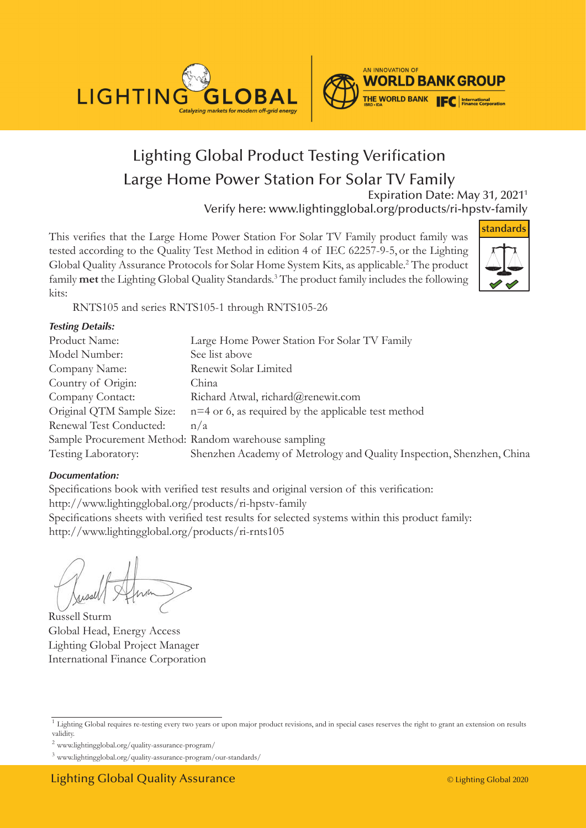



# Lighting Global Product Testing Verification Large Home Power Station For Solar TV Family

Expiration Date: May 31, 20211 Verify here: www.lightingglobal.org/products/ri-hpstv-family

This verifies that the Large Home Power Station For Solar TV Family product family was tested according to the Quality Test Method in edition 4 of IEC 62257-9-5, or the Lighting Global Quality Assurance Protocols for Solar Home System Kits, as applicable.<sup>2</sup> The product family **met** the Lighting Global Quality Standards.3 The product family includes the following kits:



RNTS105 and series RNTS105-1 through RNTS105-26

#### *Testing Details:*

| Large Home Power Station For Solar TV Family                          |
|-----------------------------------------------------------------------|
| See list above                                                        |
| Renewit Solar Limited                                                 |
| China                                                                 |
| Richard Atwal, richard@renewit.com                                    |
| $n=4$ or 6, as required by the applicable test method                 |
| n/a                                                                   |
| Sample Procurement Method: Random warehouse sampling                  |
| Shenzhen Academy of Metrology and Quality Inspection, Shenzhen, China |
|                                                                       |

#### *Documentation:*

Specifications book with verified test results and original version of this verification: http://www.lightingglobal.org/products/ri-hpstv-family Specifications sheets with verified test results for selected systems within this product family: http://www.lightingglobal.org/products/ri-rnts105

Russell Sturm Global Head, Energy Access Lighting Global Project Manager International Finance Corporation

<sup>2</sup> www.lightingglobal.org/quality-assurance-program/

<sup>&</sup>lt;sup>1</sup> Lighting Global requires re-testing every two years or upon major product revisions, and in special cases reserves the right to grant an extension on results validity.

<sup>3</sup> www.lightingglobal.org/quality-assurance-program/our-standards/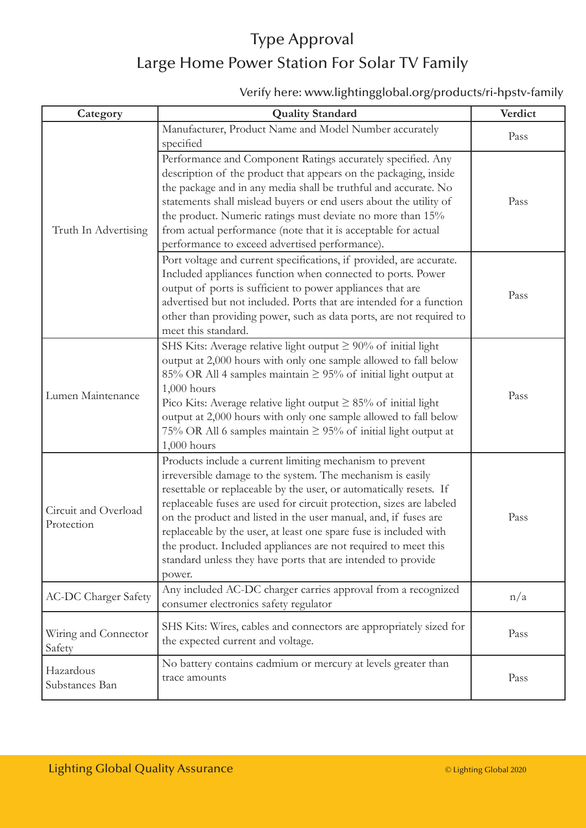# Type Approval Large Home Power Station For Solar TV Family

#### Verify here: www.lightingglobal.org/products/ri-hpstv-family

| Category                           | <b>Quality Standard</b>                                                                                                                                                                                                                                                                                                                                                                                                                                                                                                                                  | Verdict |
|------------------------------------|----------------------------------------------------------------------------------------------------------------------------------------------------------------------------------------------------------------------------------------------------------------------------------------------------------------------------------------------------------------------------------------------------------------------------------------------------------------------------------------------------------------------------------------------------------|---------|
| Truth In Advertising               | Manufacturer, Product Name and Model Number accurately<br>specified                                                                                                                                                                                                                                                                                                                                                                                                                                                                                      | Pass    |
|                                    | Performance and Component Ratings accurately specified. Any<br>description of the product that appears on the packaging, inside<br>the package and in any media shall be truthful and accurate. No<br>statements shall mislead buyers or end users about the utility of<br>the product. Numeric ratings must deviate no more than 15%<br>from actual performance (note that it is acceptable for actual<br>performance to exceed advertised performance).                                                                                                | Pass    |
|                                    | Port voltage and current specifications, if provided, are accurate.<br>Included appliances function when connected to ports. Power<br>output of ports is sufficient to power appliances that are<br>advertised but not included. Ports that are intended for a function<br>other than providing power, such as data ports, are not required to<br>meet this standard.                                                                                                                                                                                    | Pass    |
| Lumen Maintenance                  | SHS Kits: Average relative light output $\geq 90\%$ of initial light<br>output at 2,000 hours with only one sample allowed to fall below<br>85% OR All 4 samples maintain $\geq$ 95% of initial light output at<br>$1,000$ hours<br>Pico Kits: Average relative light output $\geq 85\%$ of initial light<br>output at 2,000 hours with only one sample allowed to fall below<br>75% OR All 6 samples maintain $\geq$ 95% of initial light output at<br>$1,000$ hours                                                                                    | Pass    |
| Circuit and Overload<br>Protection | Products include a current limiting mechanism to prevent<br>irreversible damage to the system. The mechanism is easily<br>resettable or replaceable by the user, or automatically resets. If<br>replaceable fuses are used for circuit protection, sizes are labeled<br>on the product and listed in the user manual, and, if fuses are<br>replaceable by the user, at least one spare fuse is included with<br>the product. Included appliances are not required to meet this<br>standard unless they have ports that are intended to provide<br>power. | Pass    |
| <b>AC-DC Charger Safety</b>        | Any included AC-DC charger carries approval from a recognized<br>consumer electronics safety regulator                                                                                                                                                                                                                                                                                                                                                                                                                                                   | n/a     |
| Wiring and Connector<br>Safety     | SHS Kits: Wires, cables and connectors are appropriately sized for<br>the expected current and voltage.                                                                                                                                                                                                                                                                                                                                                                                                                                                  | Pass    |
| Hazardous<br>Substances Ban        | No battery contains cadmium or mercury at levels greater than<br>trace amounts                                                                                                                                                                                                                                                                                                                                                                                                                                                                           | Pass    |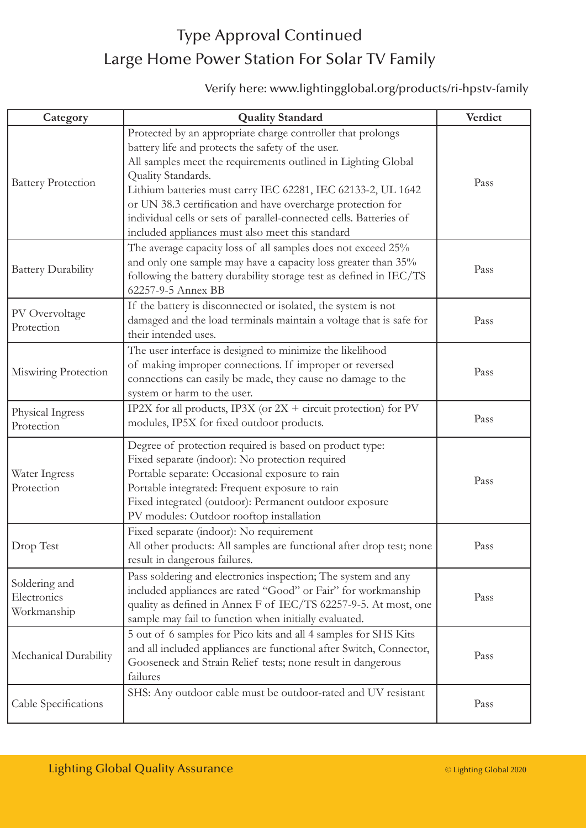## Type Approval Continued Large Home Power Station For Solar TV Family

#### Verify here: www.lightingglobal.org/products/ri-hpstv-family

| Category                                    | <b>Quality Standard</b>                                                                                                                                                                                                                                                                                                                                                                                                                                          | Verdict |
|---------------------------------------------|------------------------------------------------------------------------------------------------------------------------------------------------------------------------------------------------------------------------------------------------------------------------------------------------------------------------------------------------------------------------------------------------------------------------------------------------------------------|---------|
| <b>Battery Protection</b>                   | Protected by an appropriate charge controller that prolongs<br>battery life and protects the safety of the user.<br>All samples meet the requirements outlined in Lighting Global<br>Quality Standards.<br>Lithium batteries must carry IEC 62281, IEC 62133-2, UL 1642<br>or UN 38.3 certification and have overcharge protection for<br>individual cells or sets of parallel-connected cells. Batteries of<br>included appliances must also meet this standard | Pass    |
| <b>Battery Durability</b>                   | The average capacity loss of all samples does not exceed 25%<br>and only one sample may have a capacity loss greater than 35%<br>following the battery durability storage test as defined in IEC/TS<br>62257-9-5 Annex BB                                                                                                                                                                                                                                        | Pass    |
| PV Overvoltage<br>Protection                | If the battery is disconnected or isolated, the system is not<br>damaged and the load terminals maintain a voltage that is safe for<br>their intended uses.                                                                                                                                                                                                                                                                                                      | Pass    |
| Miswiring Protection                        | The user interface is designed to minimize the likelihood<br>of making improper connections. If improper or reversed<br>connections can easily be made, they cause no damage to the<br>system or harm to the user.                                                                                                                                                                                                                                               | Pass    |
| Physical Ingress<br>Protection              | IP2X for all products, IP3X (or $2X +$ circuit protection) for PV<br>modules, IP5X for fixed outdoor products.                                                                                                                                                                                                                                                                                                                                                   | Pass    |
| Water Ingress<br>Protection                 | Degree of protection required is based on product type:<br>Fixed separate (indoor): No protection required<br>Portable separate: Occasional exposure to rain<br>Portable integrated: Frequent exposure to rain<br>Fixed integrated (outdoor): Permanent outdoor exposure<br>PV modules: Outdoor rooftop installation                                                                                                                                             | Pass    |
| Drop Test                                   | Fixed separate (indoor): No requirement<br>All other products: All samples are functional after drop test; none<br>result in dangerous failures.                                                                                                                                                                                                                                                                                                                 | Pass    |
| Soldering and<br>Electronics<br>Workmanship | Pass soldering and electronics inspection; The system and any<br>included appliances are rated "Good" or Fair" for workmanship<br>quality as defined in Annex F of IEC/TS 62257-9-5. At most, one<br>sample may fail to function when initially evaluated.                                                                                                                                                                                                       | Pass    |
| Mechanical Durability                       | 5 out of 6 samples for Pico kits and all 4 samples for SHS Kits<br>and all included appliances are functional after Switch, Connector,<br>Gooseneck and Strain Relief tests; none result in dangerous<br>failures                                                                                                                                                                                                                                                | Pass    |
| Cable Specifications                        | SHS: Any outdoor cable must be outdoor-rated and UV resistant                                                                                                                                                                                                                                                                                                                                                                                                    | Pass    |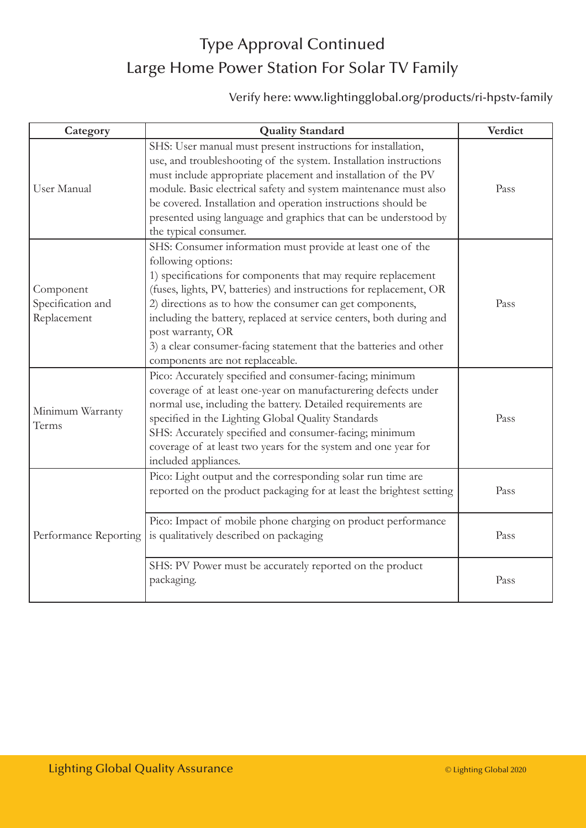# Type Approval Continued Large Home Power Station For Solar TV Family

#### Verify here: www.lightingglobal.org/products/ri-hpstv-family

| Category                                      | <b>Quality Standard</b>                                                                                                                                                                                                                                                                                                                                                                                                                                                                  | Verdict |
|-----------------------------------------------|------------------------------------------------------------------------------------------------------------------------------------------------------------------------------------------------------------------------------------------------------------------------------------------------------------------------------------------------------------------------------------------------------------------------------------------------------------------------------------------|---------|
| User Manual                                   | SHS: User manual must present instructions for installation,<br>use, and troubleshooting of the system. Installation instructions<br>must include appropriate placement and installation of the PV<br>module. Basic electrical safety and system maintenance must also<br>be covered. Installation and operation instructions should be<br>presented using language and graphics that can be understood by<br>the typical consumer.                                                      | Pass    |
| Component<br>Specification and<br>Replacement | SHS: Consumer information must provide at least one of the<br>following options:<br>1) specifications for components that may require replacement<br>(fuses, lights, PV, batteries) and instructions for replacement, OR<br>2) directions as to how the consumer can get components,<br>including the battery, replaced at service centers, both during and<br>post warranty, OR<br>3) a clear consumer-facing statement that the batteries and other<br>components are not replaceable. | Pass    |
| Minimum Warranty<br>Terms                     | Pico: Accurately specified and consumer-facing; minimum<br>coverage of at least one-year on manufacturering defects under<br>normal use, including the battery. Detailed requirements are<br>specified in the Lighting Global Quality Standards<br>SHS: Accurately specified and consumer-facing; minimum<br>coverage of at least two years for the system and one year for<br>included appliances.                                                                                      | Pass    |
| Performance Reporting                         | Pico: Light output and the corresponding solar run time are<br>reported on the product packaging for at least the brightest setting                                                                                                                                                                                                                                                                                                                                                      | Pass    |
|                                               | Pico: Impact of mobile phone charging on product performance<br>is qualitatively described on packaging                                                                                                                                                                                                                                                                                                                                                                                  | Pass    |
|                                               | SHS: PV Power must be accurately reported on the product<br>packaging.                                                                                                                                                                                                                                                                                                                                                                                                                   | Pass    |